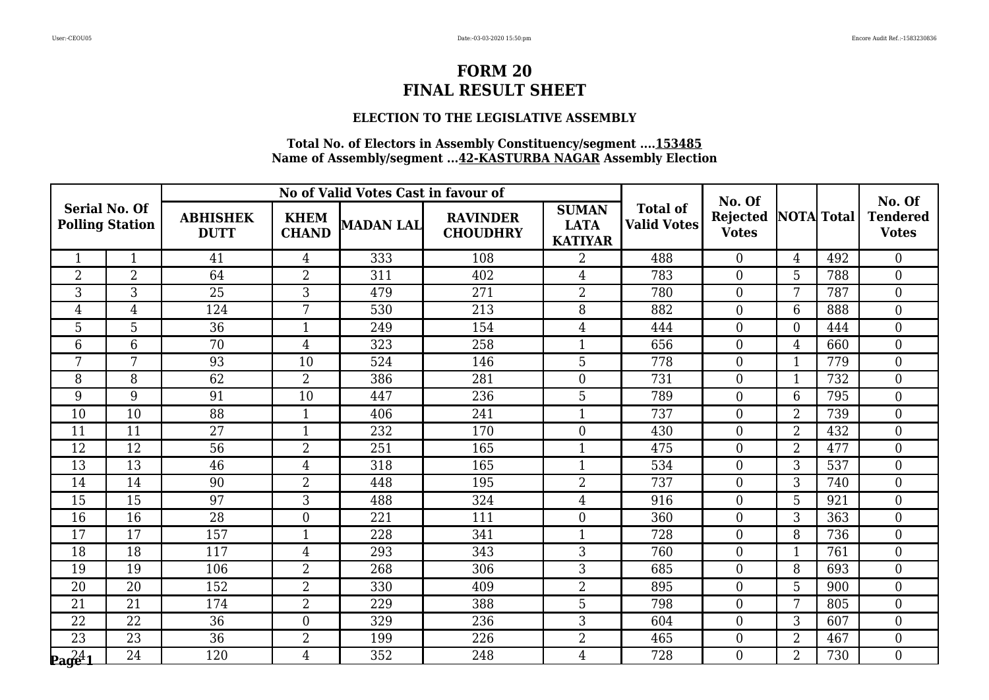### **ELECTION TO THE LEGISLATIVE ASSEMBLY**

| <b>Serial No. Of</b><br><b>Polling Station</b> |                |                                | No of Valid Votes Cast in favour of |           | No. Of                             |                                               |                                       | No. Of                          |                   |     |                                 |
|------------------------------------------------|----------------|--------------------------------|-------------------------------------|-----------|------------------------------------|-----------------------------------------------|---------------------------------------|---------------------------------|-------------------|-----|---------------------------------|
|                                                |                | <b>ABHISHEK</b><br><b>DUTT</b> | <b>KHEM</b><br><b>CHAND</b>         | MADAN LAL | <b>RAVINDER</b><br><b>CHOUDHRY</b> | <b>SUMAN</b><br><b>LATA</b><br><b>KATIYAR</b> | <b>Total of</b><br><b>Valid Votes</b> | <b>Rejected</b><br><b>Votes</b> | <b>NOTA</b> Total |     | <b>Tendered</b><br><b>Votes</b> |
| $\mathbf{1}$                                   | $\mathbf{1}$   | 41                             | $\overline{4}$                      | 333       | 108                                | $\overline{2}$                                | 488                                   | $\overline{0}$                  | $\overline{4}$    | 492 | $\overline{0}$                  |
| $\overline{2}$                                 | $\overline{2}$ | 64                             | $\overline{2}$                      | 311       | 402                                | $\overline{4}$                                | 783                                   | $\overline{0}$                  | 5                 | 788 | $\overline{0}$                  |
| 3                                              | $\overline{3}$ | $\overline{25}$                | $\overline{3}$                      | 479       | 271                                | $\overline{2}$                                | 780                                   | $\overline{0}$                  | 7                 | 787 | $\boldsymbol{0}$                |
| $\overline{4}$                                 | $\overline{4}$ | 124                            | 7                                   | 530       | 213                                | 8                                             | 882                                   | $\overline{0}$                  | 6                 | 888 | $\overline{0}$                  |
| 5                                              | 5              | $\overline{36}$                | $\mathbf{1}$                        | 249       | 154                                | $\overline{4}$                                | 444                                   | $\overline{0}$                  | $\theta$          | 444 | $\overline{0}$                  |
| 6                                              | 6              | 70                             | $\overline{4}$                      | 323       | 258                                | $\mathbf{1}$                                  | 656                                   | $\overline{0}$                  | $\overline{4}$    | 660 | $\boldsymbol{0}$                |
| 7                                              | 7              | 93                             | 10                                  | 524       | 146                                | 5                                             | 778                                   | $\overline{0}$                  | $\mathbf{1}$      | 779 | $\overline{0}$                  |
| 8                                              | 8              | 62                             | $\overline{2}$                      | 386       | 281                                | $\boldsymbol{0}$                              | 731                                   | $\boldsymbol{0}$                | $\mathbf 1$       | 732 | $\boldsymbol{0}$                |
| 9                                              | 9              | 91                             | 10                                  | 447       | 236                                | 5                                             | 789                                   | $\overline{0}$                  | 6                 | 795 | $\boldsymbol{0}$                |
| 10                                             | 10             | $\overline{88}$                | $\mathbf{1}$                        | 406       | 241                                | $\mathbf{1}$                                  | 737                                   | $\overline{0}$                  | $\overline{2}$    | 739 | $\overline{0}$                  |
| 11                                             | 11             | 27                             | $\mathbf{1}$                        | 232       | 170                                | $\mathbf{0}$                                  | 430                                   | $\overline{0}$                  | $\overline{2}$    | 432 | $\boldsymbol{0}$                |
| 12                                             | 12             | 56                             | $\overline{2}$                      | 251       | 165                                | $\mathbf{1}$                                  | 475                                   | $\overline{0}$                  | $\overline{2}$    | 477 | $\boldsymbol{0}$                |
| 13                                             | 13             | 46                             | $\overline{4}$                      | 318       | 165                                | $\mathbf{1}$                                  | 534                                   | $\theta$                        | 3                 | 537 | $\overline{0}$                  |
| 14                                             | 14             | 90                             | $\overline{2}$                      | 448       | 195                                | $\overline{2}$                                | 737                                   | $\overline{0}$                  | 3                 | 740 | $\overline{0}$                  |
| 15                                             | 15             | 97                             | 3                                   | 488       | 324                                | $\overline{4}$                                | 916                                   | $\overline{0}$                  | 5                 | 921 | $\mathbf{0}$                    |
| 16                                             | 16             | 28                             | $\overline{0}$                      | 221       | 111                                | $\overline{0}$                                | 360                                   | $\overline{0}$                  | 3                 | 363 | $\overline{0}$                  |
| 17                                             | 17             | 157                            | $\mathbf{1}$                        | 228       | 341                                | $\mathbf 1$                                   | 728                                   | $\overline{0}$                  | 8                 | 736 | $\boldsymbol{0}$                |
| 18                                             | 18             | 117                            | $\overline{4}$                      | 293       | 343                                | 3                                             | 760                                   | $\overline{0}$                  | $\mathbf{1}$      | 761 | $\boldsymbol{0}$                |
| 19                                             | 19             | 106                            | $\overline{2}$                      | 268       | 306                                | 3                                             | 685                                   | $\overline{0}$                  | 8                 | 693 | $\overline{0}$                  |
| 20                                             | 20             | 152                            | $\overline{2}$                      | 330       | 409                                | $\overline{2}$                                | 895                                   | $\overline{0}$                  | 5                 | 900 | $\overline{0}$                  |
| 21                                             | 21             | 174                            | $\overline{2}$                      | 229       | 388                                | 5                                             | 798                                   | $\overline{0}$                  | 7                 | 805 | $\boldsymbol{0}$                |
| 22                                             | 22             | 36                             | $\overline{0}$                      | 329       | 236                                | 3                                             | 604                                   | $\overline{0}$                  | 3                 | 607 | $\overline{0}$                  |
| 23                                             | 23             | $\overline{36}$                | $\overline{2}$                      | 199       | 226                                | $\overline{2}$                                | 465                                   | $\overline{0}$                  | $\overline{2}$    | 467 | $\overline{0}$                  |
| $\mathbf{p_{\rm{age}}^{241}}$                  | 24             | 120                            | 4                                   | 352       | 248                                | 4                                             | 728                                   | $\overline{0}$                  | $\overline{2}$    | 730 | $\overline{0}$                  |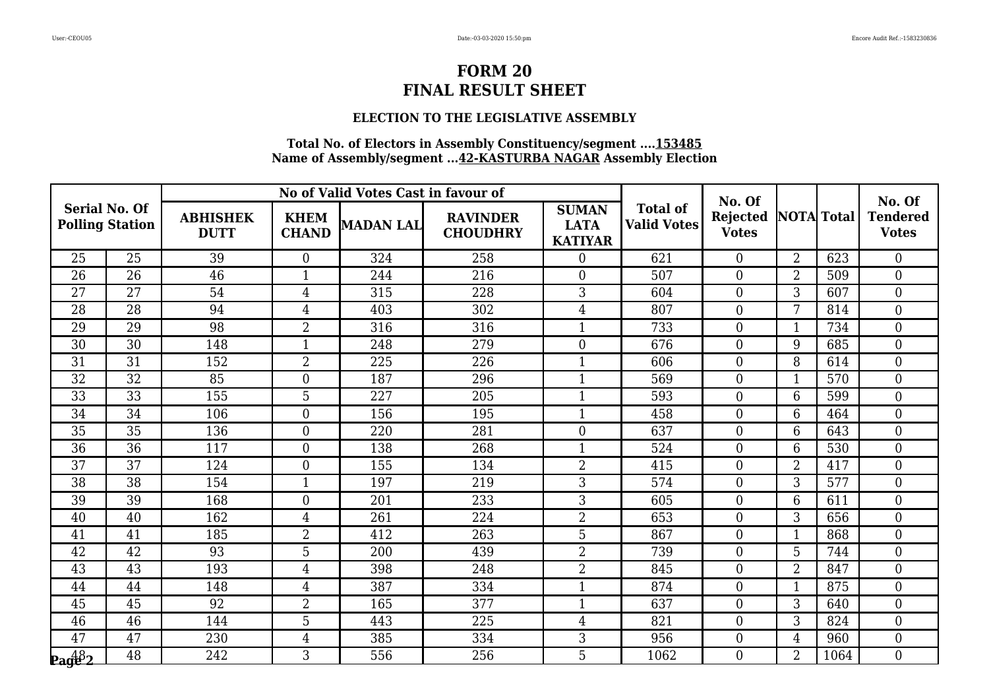### **ELECTION TO THE LEGISLATIVE ASSEMBLY**

| <b>Serial No. Of</b><br><b>Polling Station</b> |                 |                                | No of Valid Votes Cast in favour of |                  | No. Of                             |                                               |                                       | No. Of                   |                   |      |                                 |
|------------------------------------------------|-----------------|--------------------------------|-------------------------------------|------------------|------------------------------------|-----------------------------------------------|---------------------------------------|--------------------------|-------------------|------|---------------------------------|
|                                                |                 | <b>ABHISHEK</b><br><b>DUTT</b> | <b>KHEM</b><br><b>CHAND</b>         | <b>MADAN LAL</b> | <b>RAVINDER</b><br><b>CHOUDHRY</b> | <b>SUMAN</b><br><b>LATA</b><br><b>KATIYAR</b> | <b>Total of</b><br><b>Valid Votes</b> | Rejected<br><b>Votes</b> | <b>NOTA</b> Total |      | <b>Tendered</b><br><b>Votes</b> |
| 25                                             | 25              | 39                             | $\overline{0}$                      | 324              | 258                                | $\overline{0}$                                | 621                                   | $\overline{0}$           | $\overline{2}$    | 623  | $\overline{0}$                  |
| 26                                             | 26              | 46                             | $\mathbf{1}$                        | 244              | 216                                | $\overline{0}$                                | 507                                   | $\overline{0}$           | $\overline{2}$    | 509  | $\overline{0}$                  |
| 27                                             | 27              | 54                             | $\overline{4}$                      | 315              | 228                                | $\overline{3}$                                | 604                                   | $\overline{0}$           | 3                 | 607  | $\overline{0}$                  |
| 28                                             | 28              | 94                             | $\overline{4}$                      | 403              | 302                                | $\overline{4}$                                | 807                                   | $\overline{0}$           | 7                 | 814  | $\overline{0}$                  |
| 29                                             | 29              | 98                             | $\overline{2}$                      | 316              | 316                                | $\mathbf 1$                                   | 733                                   | $\overline{0}$           | -1                | 734  | $\overline{0}$                  |
| 30                                             | 30              | 148                            | $\mathbf{1}$                        | 248              | 279                                | $\mathbf{0}$                                  | 676                                   | $\overline{0}$           | 9                 | 685  | $\overline{0}$                  |
| 31                                             | 31              | 152                            | $\overline{2}$                      | 225              | 226                                | $\mathbf{1}$                                  | 606                                   | $\overline{0}$           | 8                 | 614  | $\overline{0}$                  |
| 32                                             | 32              | 85                             | $\boldsymbol{0}$                    | 187              | 296                                | $\mathbf{1}$                                  | 569                                   | $\overline{0}$           |                   | 570  | $\overline{0}$                  |
| $\overline{33}$                                | $\overline{33}$ | 155                            | $\overline{5}$                      | 227              | 205                                | $\mathbf{1}$                                  | 593                                   | $\overline{0}$           | 6                 | 599  | $\boldsymbol{0}$                |
| 34                                             | 34              | 106                            | $\boldsymbol{0}$                    | 156              | 195                                | $\mathbf{1}$                                  | 458                                   | $\overline{0}$           | 6                 | 464  | $\boldsymbol{0}$                |
| 35                                             | 35              | 136                            | $\boldsymbol{0}$                    | 220              | 281                                | $\overline{0}$                                | 637                                   | $\overline{0}$           | 6                 | 643  | $\overline{0}$                  |
| 36                                             | 36              | 117                            | $\boldsymbol{0}$                    | 138              | 268                                | $\mathbf{1}$                                  | 524                                   | $\overline{0}$           | 6                 | 530  | $\mathbf{0}$                    |
| 37                                             | 37              | 124                            | $\overline{0}$                      | 155              | 134                                | $\overline{2}$                                | 415                                   | $\overline{0}$           | $\overline{2}$    | 417  | $\overline{0}$                  |
| 38                                             | 38              | 154                            | $\mathbf{1}$                        | 197              | 219                                | 3                                             | 574                                   | $\overline{0}$           | 3                 | 577  | $\overline{0}$                  |
| 39                                             | 39              | 168                            | $\boldsymbol{0}$                    | 201              | 233                                | 3                                             | 605                                   | $\overline{0}$           | 6                 | 611  | $\boldsymbol{0}$                |
| 40                                             | 40              | 162                            | $\overline{4}$                      | 261              | 224                                | $\overline{2}$                                | 653                                   | $\overline{0}$           | 3                 | 656  | $\boldsymbol{0}$                |
| 41                                             | 41              | 185                            | $\overline{2}$                      | 412              | 263                                | 5                                             | 867                                   | $\overline{0}$           | $\mathbf 1$       | 868  | $\overline{0}$                  |
| 42                                             | $\overline{42}$ | 93                             | 5                                   | 200              | 439                                | $\overline{2}$                                | 739                                   | $\overline{0}$           | 5                 | 744  | $\boldsymbol{0}$                |
| 43                                             | 43              | 193                            | $\overline{4}$                      | 398              | 248                                | $\overline{2}$                                | 845                                   | $\overline{0}$           | $\overline{2}$    | 847  | $\overline{0}$                  |
| 44                                             | 44              | 148                            | $\overline{4}$                      | 387              | 334                                | $\mathbf{1}$                                  | 874                                   | $\overline{0}$           | $\mathbf 1$       | 875  | $\overline{0}$                  |
| 45                                             | 45              | 92                             | $\overline{2}$                      | 165              | 377                                | $\mathbf{1}$                                  | 637                                   | $\overline{0}$           | 3                 | 640  | $\boldsymbol{0}$                |
| 46                                             | 46              | 144                            | 5                                   | 443              | 225                                | $\overline{4}$                                | 821                                   | $\overline{0}$           | 3                 | 824  | $\overline{0}$                  |
| 47                                             | 47              | 230                            | $\overline{4}$                      | 385              | 334                                | 3                                             | 956                                   | $\overline{0}$           | $\overline{4}$    | 960  | $\overline{0}$                  |
| $\mathbf{p_{ag6}^{48}2}$                       | 48              | 242                            | 3                                   | 556              | 256                                | 5                                             | 1062                                  | $\overline{0}$           | $\overline{2}$    | 1064 | $\overline{0}$                  |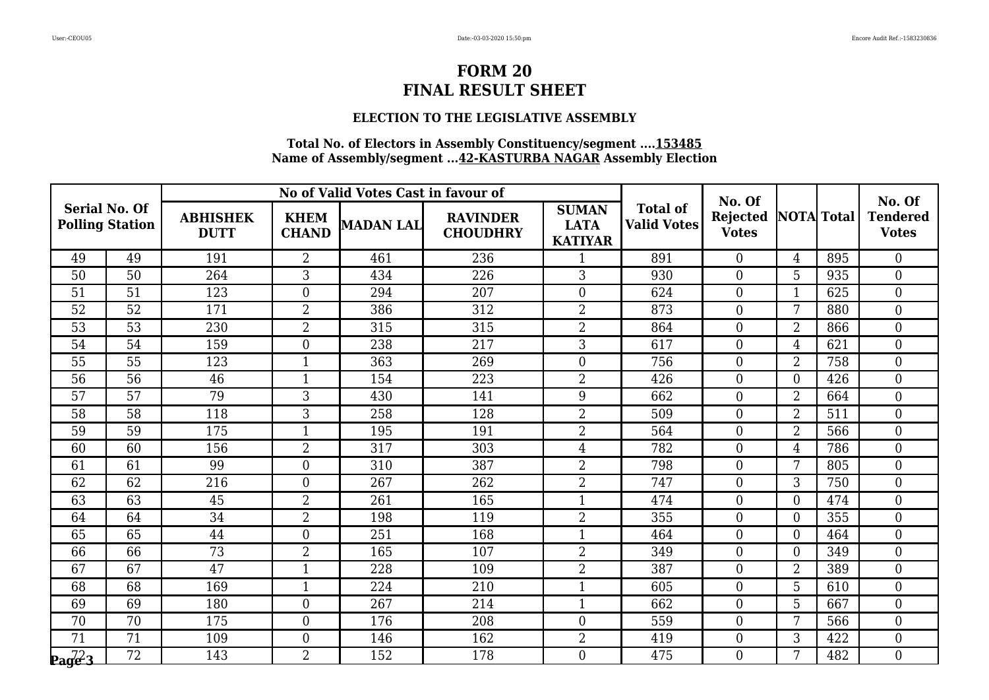### **ELECTION TO THE LEGISLATIVE ASSEMBLY**

| <b>Serial No. Of</b><br><b>Polling Station</b>        |                 |                                | No of Valid Votes Cast in favour of |                  | No. Of                             |                                               |                                       | No. Of                   |                   |     |                                 |
|-------------------------------------------------------|-----------------|--------------------------------|-------------------------------------|------------------|------------------------------------|-----------------------------------------------|---------------------------------------|--------------------------|-------------------|-----|---------------------------------|
|                                                       |                 | <b>ABHISHEK</b><br><b>DUTT</b> | <b>KHEM</b><br><b>CHAND</b>         | <b>MADAN LAL</b> | <b>RAVINDER</b><br><b>CHOUDHRY</b> | <b>SUMAN</b><br><b>LATA</b><br><b>KATIYAR</b> | <b>Total of</b><br><b>Valid Votes</b> | Rejected<br><b>Votes</b> | <b>NOTA</b> Total |     | <b>Tendered</b><br><b>Votes</b> |
| 49                                                    | 49              | 191                            | $\overline{2}$                      | 461              | 236                                | 1                                             | 891                                   | $\overline{0}$           | $\overline{4}$    | 895 | $\overline{0}$                  |
| 50                                                    | 50              | 264                            | 3                                   | 434              | 226                                | 3                                             | 930                                   | $\overline{0}$           | 5                 | 935 | $\overline{0}$                  |
| 51                                                    | 51              | 123                            | $\boldsymbol{0}$                    | 294              | 207                                | $\overline{0}$                                | 624                                   | $\overline{0}$           | $\mathbf{1}$      | 625 | $\overline{0}$                  |
| 52                                                    | $\overline{52}$ | 171                            | $\overline{2}$                      | 386              | 312                                | $\overline{2}$                                | 873                                   | $\overline{0}$           | 7                 | 880 | $\overline{0}$                  |
| 53                                                    | 53              | 230                            | $\overline{2}$                      | 315              | 315                                | $\overline{2}$                                | 864                                   | $\overline{0}$           | $\overline{2}$    | 866 | $\overline{0}$                  |
| 54                                                    | 54              | 159                            | $\boldsymbol{0}$                    | 238              | 217                                | 3                                             | 617                                   | $\overline{0}$           | $\overline{4}$    | 621 | $\overline{0}$                  |
| 55                                                    | 55              | 123                            | $\mathbf{1}$                        | 363              | 269                                | $\boldsymbol{0}$                              | 756                                   | $\overline{0}$           | $\overline{2}$    | 758 | $\boldsymbol{0}$                |
| 56                                                    | 56              | 46                             | $\mathbf{1}$                        | 154              | 223                                | $\overline{2}$                                | 426                                   | $\overline{0}$           | $\theta$          | 426 | $\overline{0}$                  |
| 57                                                    | $\overline{57}$ | $\overline{79}$                | $\overline{3}$                      | 430              | 141                                | 9                                             | 662                                   | $\overline{0}$           | $\overline{2}$    | 664 | $\boldsymbol{0}$                |
| 58                                                    | 58              | 118                            | 3                                   | 258              | 128                                | $\overline{2}$                                | 509                                   | $\overline{0}$           | $\overline{2}$    | 511 | $\boldsymbol{0}$                |
| 59                                                    | 59              | 175                            | $\mathbf{1}$                        | 195              | 191                                | $\overline{2}$                                | 564                                   | $\overline{0}$           | $\overline{2}$    | 566 | $\overline{0}$                  |
| 60                                                    | 60              | 156                            | $\overline{2}$                      | 317              | 303                                | $\overline{4}$                                | 782                                   | $\overline{0}$           | $\overline{4}$    | 786 | $\mathbf{0}$                    |
| 61                                                    | 61              | 99                             | $\overline{0}$                      | 310              | 387                                | $\overline{2}$                                | 798                                   | $\overline{0}$           | 7                 | 805 | $\overline{0}$                  |
| 62                                                    | 62              | 216                            | $\overline{0}$                      | 267              | 262                                | $\overline{2}$                                | 747                                   | $\overline{0}$           | 3                 | 750 | $\overline{0}$                  |
| 63                                                    | $\overline{63}$ | 45                             | $\overline{2}$                      | 261              | 165                                | $\mathbf{1}$                                  | 474                                   | $\overline{0}$           | $\overline{0}$    | 474 | $\boldsymbol{0}$                |
| 64                                                    | 64              | 34                             | $\overline{2}$                      | 198              | 119                                | $\overline{2}$                                | 355                                   | $\overline{0}$           | $\overline{0}$    | 355 | $\boldsymbol{0}$                |
| 65                                                    | 65              | 44                             | $\boldsymbol{0}$                    | 251              | 168                                | $\mathbf{1}$                                  | 464                                   | $\overline{0}$           | $\overline{0}$    | 464 | $\overline{0}$                  |
| 66                                                    | 66              | 73                             | $\overline{2}$                      | 165              | 107                                | $\overline{2}$                                | 349                                   | $\overline{0}$           | $\overline{0}$    | 349 | $\boldsymbol{0}$                |
| 67                                                    | 67              | $\overline{47}$                | $\mathbf{1}$                        | 228              | 109                                | $\overline{2}$                                | 387                                   | $\overline{0}$           | $\overline{2}$    | 389 | $\overline{0}$                  |
| 68                                                    | 68              | 169                            | $\mathbf{1}$                        | 224              | 210                                | $\mathbf{1}$                                  | 605                                   | $\overline{0}$           | 5                 | 610 | $\overline{0}$                  |
| 69                                                    | 69              | 180                            | $\boldsymbol{0}$                    | 267              | 214                                | $\mathbf{1}$                                  | 662                                   | $\overline{0}$           | 5                 | 667 | $\boldsymbol{0}$                |
| 70                                                    | 70              | 175                            | $\overline{0}$                      | 176              | 208                                | $\overline{0}$                                | 559                                   | $\overline{0}$           | 7                 | 566 | $\overline{0}$                  |
| 71                                                    | 71              | 109                            | $\boldsymbol{0}$                    | 146              | 162                                | $\overline{2}$                                | 419                                   | $\overline{0}$           | 3                 | 422 | $\overline{0}$                  |
| $\mathbf{p}_{\mathbf{a}}$ $\mathbf{q}^2$ $\mathbf{3}$ | 72              | 143                            | $\overline{2}$                      | 152              | 178                                | $\mathbf{0}$                                  | 475                                   | $\overline{0}$           | 7                 | 482 | $\overline{0}$                  |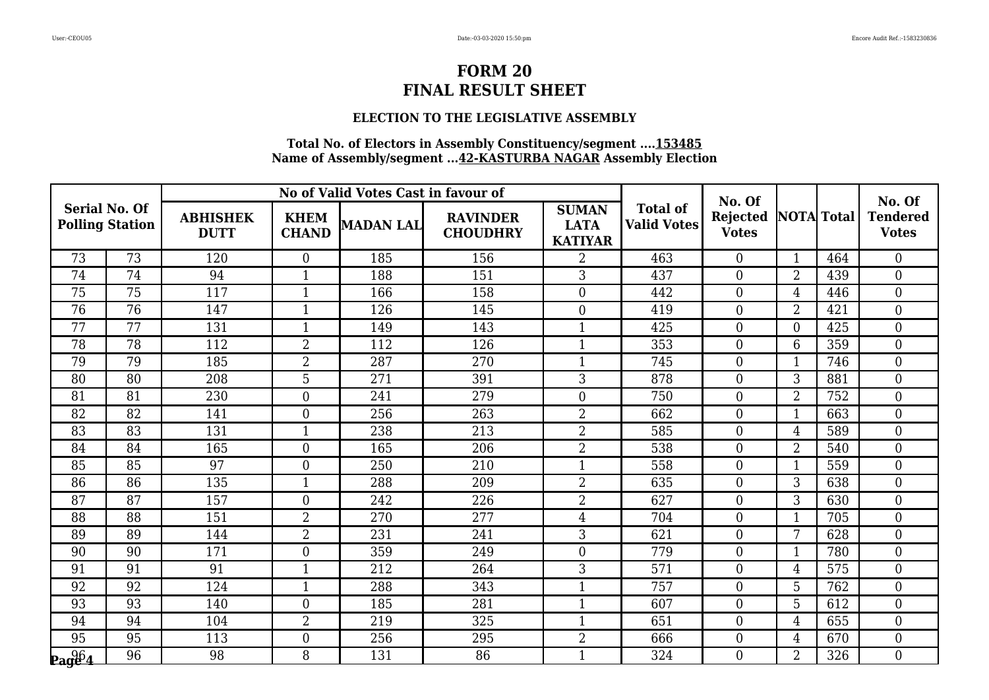### **ELECTION TO THE LEGISLATIVE ASSEMBLY**

| <b>Serial No. Of</b><br><b>Polling Station</b> |    |                                | No of Valid Votes Cast in favour of |           | No. Of                             |                                               |                                       | No. Of                   |                   |     |                                 |
|------------------------------------------------|----|--------------------------------|-------------------------------------|-----------|------------------------------------|-----------------------------------------------|---------------------------------------|--------------------------|-------------------|-----|---------------------------------|
|                                                |    | <b>ABHISHEK</b><br><b>DUTT</b> | <b>KHEM</b><br><b>CHAND</b>         | MADAN LAL | <b>RAVINDER</b><br><b>CHOUDHRY</b> | <b>SUMAN</b><br><b>LATA</b><br><b>KATIYAR</b> | <b>Total of</b><br><b>Valid Votes</b> | Rejected<br><b>Votes</b> | <b>NOTA</b> Total |     | <b>Tendered</b><br><b>Votes</b> |
| 73                                             | 73 | 120                            | $\boldsymbol{0}$                    | 185       | 156                                | $\overline{2}$                                | 463                                   | $\overline{0}$           | $\mathbf{1}$      | 464 | $\overline{0}$                  |
| 74                                             | 74 | 94                             |                                     | 188       | 151                                | 3                                             | 437                                   | $\overline{0}$           | $\overline{2}$    | 439 | $\overline{0}$                  |
| 75                                             | 75 | 117                            | $\mathbf{1}$                        | 166       | 158                                | $\mathbf{0}$                                  | 442                                   | $\overline{0}$           | $\overline{4}$    | 446 | $\boldsymbol{0}$                |
| 76                                             | 76 | 147                            | $\mathbf{1}$                        | 126       | 145                                | $\overline{0}$                                | 419                                   | $\overline{0}$           | $\overline{2}$    | 421 | $\overline{0}$                  |
| 77                                             | 77 | 131                            | $\mathbf{1}$                        | 149       | 143                                | 1                                             | 425                                   | $\overline{0}$           | $\overline{0}$    | 425 | $\overline{0}$                  |
| 78                                             | 78 | 112                            | $\overline{2}$                      | 112       | 126                                | $\mathbf{1}$                                  | 353                                   | $\overline{0}$           | $6\phantom{1}6$   | 359 | $\boldsymbol{0}$                |
| 79                                             | 79 | 185                            | $\overline{2}$                      | 287       | 270                                | $\mathbf{1}$                                  | 745                                   | $\overline{0}$           | $\mathbf{1}$      | 746 | $\overline{0}$                  |
| 80                                             | 80 | 208                            | 5                                   | 271       | 391                                | 3                                             | 878                                   | $\overline{0}$           | 3                 | 881 | $\boldsymbol{0}$                |
| 81                                             | 81 | 230                            | $\boldsymbol{0}$                    | 241       | 279                                | $\mathbf{0}$                                  | 750                                   | $\overline{0}$           | $\overline{2}$    | 752 | $\boldsymbol{0}$                |
| 82                                             | 82 | 141                            | $\overline{0}$                      | 256       | 263                                | $\overline{2}$                                | 662                                   | $\overline{0}$           | $\mathbf{1}$      | 663 | $\overline{0}$                  |
| 83                                             | 83 | 131                            | $\mathbf{1}$                        | 238       | 213                                | $\overline{2}$                                | 585                                   | $\overline{0}$           | $\overline{4}$    | 589 | $\boldsymbol{0}$                |
| 84                                             | 84 | 165                            | $\boldsymbol{0}$                    | 165       | 206                                | $\overline{2}$                                | 538                                   | $\overline{0}$           | $\overline{2}$    | 540 | $\boldsymbol{0}$                |
| 85                                             | 85 | 97                             | $\overline{0}$                      | 250       | 210                                | $\mathbf{1}$                                  | 558                                   | $\overline{0}$           | $\mathbf{1}$      | 559 | $\overline{0}$                  |
| 86                                             | 86 | 135                            | $\mathbf{1}$                        | 288       | 209                                | $\overline{2}$                                | 635                                   | $\overline{0}$           | 3                 | 638 | $\overline{0}$                  |
| 87                                             | 87 | 157                            | $\mathbf{0}$                        | 242       | 226                                | $\overline{2}$                                | 627                                   | $\overline{0}$           | 3                 | 630 | $\mathbf{0}$                    |
| 88                                             | 88 | 151                            | $\overline{2}$                      | 270       | 277                                | $\overline{4}$                                | 704                                   | $\overline{0}$           | $\mathbf 1$       | 705 | $\overline{0}$                  |
| 89                                             | 89 | 144                            | $\overline{2}$                      | 231       | 241                                | 3                                             | 621                                   | $\overline{0}$           | 7                 | 628 | $\boldsymbol{0}$                |
| 90                                             | 90 | 171                            | $\boldsymbol{0}$                    | 359       | 249                                | $\mathbf{0}$                                  | 779                                   | $\overline{0}$           | 1                 | 780 | $\boldsymbol{0}$                |
| 91                                             | 91 | 91                             | $\mathbf{1}$                        | 212       | 264                                | 3                                             | 571                                   | $\overline{0}$           | $\overline{4}$    | 575 | $\overline{0}$                  |
| 92                                             | 92 | 124                            | $\mathbf{1}$                        | 288       | 343                                | $\mathbf{1}$                                  | 757                                   | $\overline{0}$           | 5                 | 762 | $\overline{0}$                  |
| 93                                             | 93 | 140                            | $\boldsymbol{0}$                    | 185       | 281                                | $\mathbf{1}$                                  | 607                                   | $\overline{0}$           | 5                 | 612 | $\boldsymbol{0}$                |
| 94                                             | 94 | 104                            | $\overline{2}$                      | 219       | 325                                | 1                                             | 651                                   | $\overline{0}$           | $\overline{4}$    | 655 | $\overline{0}$                  |
| 95                                             | 95 | 113                            | $\boldsymbol{0}$                    | 256       | 295                                | $\overline{2}$                                | 666                                   | $\overline{0}$           | $\overline{4}$    | 670 | $\overline{0}$                  |
| $\mathbf{p_{age}}_{4}$                         | 96 | 98                             | 8                                   | 131       | 86                                 | $\mathbf 1$                                   | 324                                   | $\overline{0}$           | $\overline{2}$    | 326 | $\overline{0}$                  |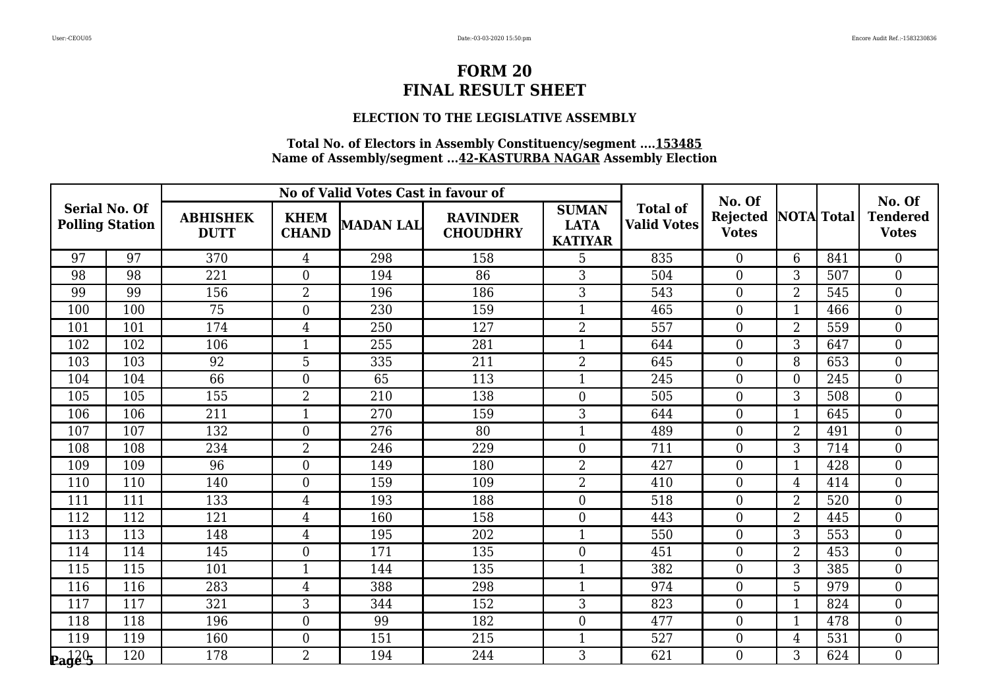### **ELECTION TO THE LEGISLATIVE ASSEMBLY**

| <b>Serial No. Of</b><br><b>Polling Station</b> |     |                                | No of Valid Votes Cast in favour of |           | No. Of                             |                                               |                                       | No. Of                          |                   |     |                                 |
|------------------------------------------------|-----|--------------------------------|-------------------------------------|-----------|------------------------------------|-----------------------------------------------|---------------------------------------|---------------------------------|-------------------|-----|---------------------------------|
|                                                |     | <b>ABHISHEK</b><br><b>DUTT</b> | <b>KHEM</b><br><b>CHAND</b>         | MADAN LAL | <b>RAVINDER</b><br><b>CHOUDHRY</b> | <b>SUMAN</b><br><b>LATA</b><br><b>KATIYAR</b> | <b>Total of</b><br><b>Valid Votes</b> | <b>Rejected</b><br><b>Votes</b> | <b>NOTA</b> Total |     | <b>Tendered</b><br><b>Votes</b> |
| 97                                             | 97  | 370                            | $\overline{4}$                      | 298       | 158                                | 5                                             | 835                                   | $\overline{0}$                  | 6                 | 841 | $\overline{0}$                  |
| 98                                             | 98  | 221                            | $\boldsymbol{0}$                    | 194       | 86                                 | 3                                             | 504                                   | $\overline{0}$                  | 3                 | 507 | $\overline{0}$                  |
| 99                                             | 99  | 156                            | $\overline{2}$                      | 196       | 186                                | $\overline{3}$                                | 543                                   | $\boldsymbol{0}$                | $\overline{2}$    | 545 | $\overline{0}$                  |
| 100                                            | 100 | 75                             | $\boldsymbol{0}$                    | 230       | 159                                | $\mathbf{1}$                                  | 465                                   | $\overline{0}$                  | $\mathbf{1}$      | 466 | $\overline{0}$                  |
| 101                                            | 101 | 174                            | $\overline{4}$                      | 250       | 127                                | $\overline{2}$                                | 557                                   | $\overline{0}$                  | $\overline{2}$    | 559 | $\overline{0}$                  |
| 102                                            | 102 | 106                            | $\mathbf{1}$                        | 255       | 281                                | $\mathbf{1}$                                  | 644                                   | $\boldsymbol{0}$                | 3                 | 647 | $\overline{0}$                  |
| 103                                            | 103 | 92                             | 5                                   | 335       | 211                                | $\overline{2}$                                | 645                                   | $\overline{0}$                  | 8                 | 653 | $\overline{0}$                  |
| 104                                            | 104 | 66                             | $\boldsymbol{0}$                    | 65        | 113                                | $\mathbf{1}$                                  | 245                                   | $\overline{0}$                  | $\theta$          | 245 | $\overline{0}$                  |
| 105                                            | 105 | 155                            | $\overline{2}$                      | 210       | 138                                | $\boldsymbol{0}$                              | 505                                   | $\boldsymbol{0}$                | 3                 | 508 | $\overline{0}$                  |
| 106                                            | 106 | 211                            | $\mathbf{1}$                        | 270       | 159                                | 3                                             | 644                                   | $\overline{0}$                  |                   | 645 | $\overline{0}$                  |
| 107                                            | 107 | 132                            | $\boldsymbol{0}$                    | 276       | 80                                 | $\mathbf{1}$                                  | 489                                   | $\overline{0}$                  | $\overline{2}$    | 491 | $\overline{0}$                  |
| 108                                            | 108 | 234                            | $\overline{2}$                      | 246       | 229                                | $\boldsymbol{0}$                              | 711                                   | $\boldsymbol{0}$                | 3                 | 714 | $\overline{0}$                  |
| 109                                            | 109 | 96                             | $\overline{0}$                      | 149       | 180                                | $\overline{2}$                                | 427                                   | $\overline{0}$                  |                   | 428 | $\overline{0}$                  |
| 110                                            | 110 | 140                            | $\boldsymbol{0}$                    | 159       | 109                                | $\overline{2}$                                | 410                                   | $\overline{0}$                  | 4                 | 414 | $\overline{0}$                  |
| 111                                            | 111 | 133                            | $\overline{4}$                      | 193       | 188                                | $\overline{0}$                                | 518                                   | $\overline{0}$                  | $\overline{2}$    | 520 | $\overline{0}$                  |
| 112                                            | 112 | 121                            | $\overline{4}$                      | 160       | 158                                | $\overline{0}$                                | 443                                   | $\overline{0}$                  | $\overline{2}$    | 445 | $\overline{0}$                  |
| 113                                            | 113 | 148                            | $\overline{4}$                      | 195       | 202                                | $\mathbf{1}$                                  | 550                                   | $\overline{0}$                  | 3                 | 553 | $\overline{0}$                  |
| 114                                            | 114 | 145                            | $\boldsymbol{0}$                    | 171       | 135                                | $\boldsymbol{0}$                              | 451                                   | $\boldsymbol{0}$                | $\overline{2}$    | 453 | $\overline{0}$                  |
| 115                                            | 115 | 101                            | $\mathbf{1}$                        | 144       | 135                                | $\mathbf{1}$                                  | 382                                   | $\overline{0}$                  | 3                 | 385 | $\overline{0}$                  |
| 116                                            | 116 | 283                            | $\overline{4}$                      | 388       | 298                                | $\mathbf{1}$                                  | 974                                   | $\overline{0}$                  | 5                 | 979 | $\boldsymbol{0}$                |
| 117                                            | 117 | 321                            | 3                                   | 344       | 152                                | 3                                             | 823                                   | $\boldsymbol{0}$                |                   | 824 | $\overline{0}$                  |
| 118                                            | 118 | 196                            | $\overline{0}$                      | 99        | 182                                | $\overline{0}$                                | 477                                   | $\overline{0}$                  |                   | 478 | $\overline{0}$                  |
| 119                                            | 119 | 160                            | $\overline{0}$                      | 151       | 215                                | $\overline{1}$                                | 527                                   | $\overline{0}$                  | $\overline{4}$    | 531 | $\overline{0}$                  |
| $\mathbf{p}_\mathbf{a}$ d $\mathbf{q}$ es      | 120 | 178                            | $\overline{2}$                      | 194       | 244                                | 3                                             | 621                                   | $\overline{0}$                  | $\mathfrak{Z}$    | 624 | $\boldsymbol{0}$                |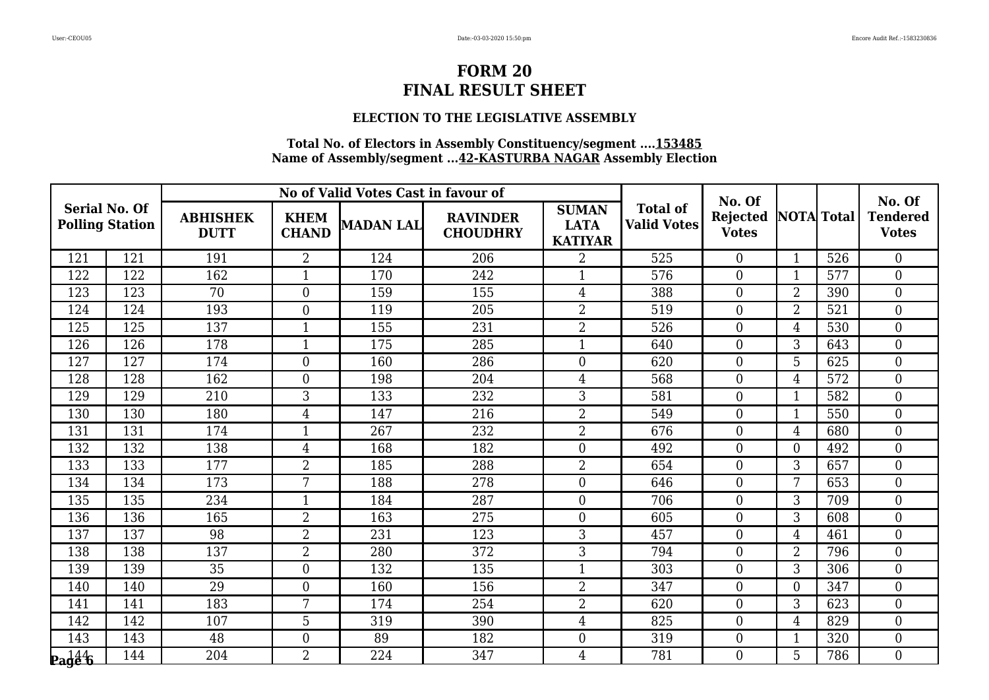### **ELECTION TO THE LEGISLATIVE ASSEMBLY**

| <b>Serial No. Of</b><br><b>Polling Station</b>  |     |                                | No of Valid Votes Cast in favour of |                  | No. Of                             |                                               |                                       | No. Of                          |                   |     |                                 |
|-------------------------------------------------|-----|--------------------------------|-------------------------------------|------------------|------------------------------------|-----------------------------------------------|---------------------------------------|---------------------------------|-------------------|-----|---------------------------------|
|                                                 |     | <b>ABHISHEK</b><br><b>DUTT</b> | <b>KHEM</b><br><b>CHAND</b>         | <b>MADAN LAL</b> | <b>RAVINDER</b><br><b>CHOUDHRY</b> | <b>SUMAN</b><br><b>LATA</b><br><b>KATIYAR</b> | <b>Total of</b><br><b>Valid Votes</b> | <b>Rejected</b><br><b>Votes</b> | <b>NOTA</b> Total |     | <b>Tendered</b><br><b>Votes</b> |
| 121                                             | 121 | 191                            | $\overline{2}$                      | 124              | 206                                | 2                                             | 525                                   | $\overline{0}$                  | $\mathbf{1}$      | 526 | $\boldsymbol{0}$                |
| 122                                             | 122 | 162                            |                                     | 170              | 242                                |                                               | 576                                   | $\overline{0}$                  | 1                 | 577 | $\overline{0}$                  |
| 123                                             | 123 | 70                             | $\overline{0}$                      | 159              | 155                                | $\overline{4}$                                | 388                                   | $\overline{0}$                  | $\overline{2}$    | 390 | $\overline{0}$                  |
| 124                                             | 124 | 193                            | $\overline{0}$                      | 119              | 205                                | $\overline{2}$                                | 519                                   | $\overline{0}$                  | 2                 | 521 | $\boldsymbol{0}$                |
| 125                                             | 125 | 137                            | $\mathbf{1}$                        | 155              | 231                                | $\overline{2}$                                | 526                                   | $\overline{0}$                  | $\overline{4}$    | 530 | $\overline{0}$                  |
| 126                                             | 126 | 178                            | $\mathbf{1}$                        | 175              | 285                                | $\mathbf{1}$                                  | 640                                   | $\overline{0}$                  | 3                 | 643 | $\boldsymbol{0}$                |
| 127                                             | 127 | 174                            | $\overline{0}$                      | 160              | 286                                | $\theta$                                      | 620                                   | $\overline{0}$                  | 5                 | 625 | $\overline{0}$                  |
| 128                                             | 128 | 162                            | $\boldsymbol{0}$                    | 198              | 204                                | $\overline{4}$                                | 568                                   | $\overline{0}$                  | $\overline{4}$    | 572 | $\boldsymbol{0}$                |
| 129                                             | 129 | 210                            | 3                                   | 133              | 232                                | 3                                             | 581                                   | $\boldsymbol{0}$                | $\mathbf{1}$      | 582 | $\boldsymbol{0}$                |
| 130                                             | 130 | 180                            | $\overline{4}$                      | 147              | 216                                | $\overline{2}$                                | 549                                   | $\Omega$                        | $\mathbf{1}$      | 550 | $\overline{0}$                  |
| 131                                             | 131 | 174                            | 1                                   | 267              | 232                                | $\overline{2}$                                | 676                                   | $\overline{0}$                  | $\overline{4}$    | 680 | $\boldsymbol{0}$                |
| 132                                             | 132 | 138                            | $\overline{4}$                      | 168              | 182                                | $\mathbf{0}$                                  | 492                                   | $\boldsymbol{0}$                | $\overline{0}$    | 492 | $\boldsymbol{0}$                |
| 133                                             | 133 | 177                            | $\overline{2}$                      | 185              | 288                                | $\overline{2}$                                | 654                                   | $\overline{0}$                  | 3                 | 657 | $\overline{0}$                  |
| 134                                             | 134 | 173                            | 7                                   | 188              | 278                                | $\boldsymbol{0}$                              | 646                                   | $\overline{0}$                  | 7                 | 653 | $\boldsymbol{0}$                |
| 135                                             | 135 | 234                            | $\overline{1}$                      | 184              | 287                                | $\theta$                                      | 706                                   | $\overline{0}$                  | 3                 | 709 | $\overline{0}$                  |
| 136                                             | 136 | 165                            | $\overline{2}$                      | 163              | 275                                | $\theta$                                      | 605                                   | $\Omega$                        | 3                 | 608 | $\overline{0}$                  |
| 137                                             | 137 | 98                             | $\overline{2}$                      | 231              | 123                                | 3                                             | 457                                   | $\overline{0}$                  | $\overline{4}$    | 461 | $\boldsymbol{0}$                |
| 138                                             | 138 | 137                            | $\overline{2}$                      | 280              | 372                                | 3                                             | 794                                   | $\overline{0}$                  | $\overline{2}$    | 796 | $\boldsymbol{0}$                |
| 139                                             | 139 | 35                             | $\overline{0}$                      | 132              | 135                                | $\mathbf{1}$                                  | 303                                   | $\overline{0}$                  | 3                 | 306 | $\overline{0}$                  |
| 140                                             | 140 | 29                             | $\overline{0}$                      | 160              | 156                                | $\overline{2}$                                | 347                                   | $\overline{0}$                  | $\overline{0}$    | 347 | $\boldsymbol{0}$                |
| 141                                             | 141 | 183                            | 7                                   | 174              | 254                                | $\overline{2}$                                | 620                                   | $\overline{0}$                  | 3                 | 623 | $\boldsymbol{0}$                |
| 142                                             | 142 | 107                            | 5                                   | 319              | 390                                | $\overline{4}$                                | 825                                   | $\overline{0}$                  | $\overline{4}$    | 829 | $\boldsymbol{0}$                |
| 143                                             | 143 | 48                             | $\overline{0}$                      | 89               | 182                                | $\overline{0}$                                | 319                                   | $\overline{0}$                  | 1                 | 320 | $\boldsymbol{0}$                |
| $\mathbf{p}_\mathbf{a}\_\mathbf{d}\_\mathbf{b}$ | 144 | 204                            | $\overline{2}$                      | 224              | 347                                | $\overline{4}$                                | 781                                   | $\overline{0}$                  | 5                 | 786 | $\boldsymbol{0}$                |